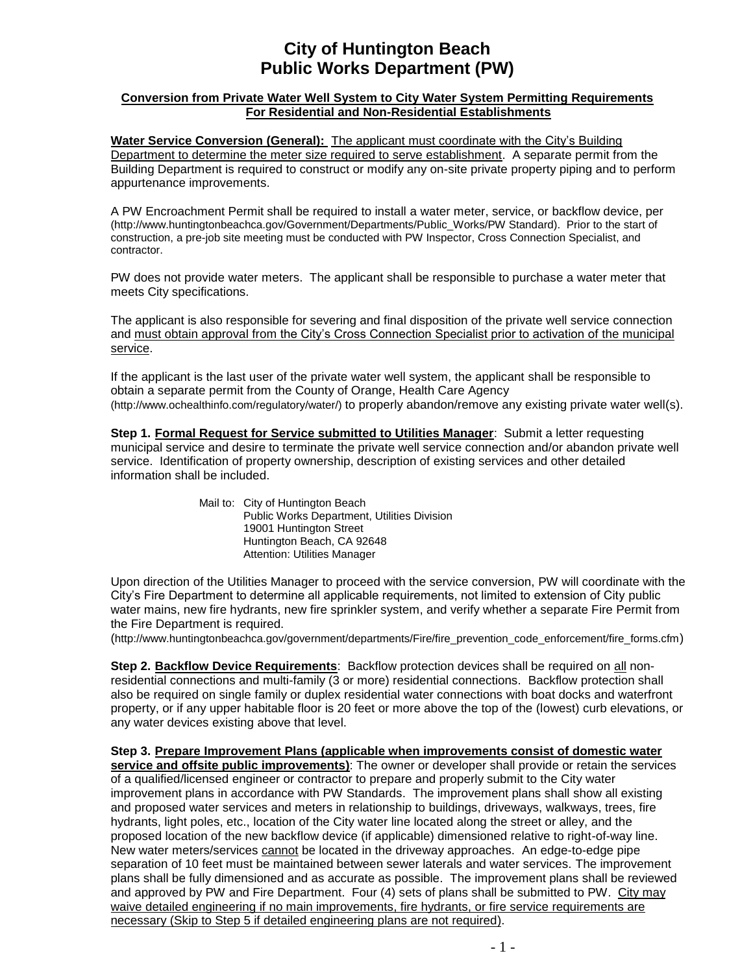## **City of Huntington Beach Public Works Department (PW)**

## **Conversion from Private Water Well System to City Water System Permitting Requirements For Residential and Non-Residential Establishments**

**Water Service Conversion (General):** The applicant must coordinate with the City's Building Department to determine the meter size required to serve establishment. A separate permit from the Building Department is required to construct or modify any on-site private property piping and to perform appurtenance improvements.

A PW Encroachment Permit shall be required to install a water meter, service, or backflow device, per [\(http://www.huntingtonbeachca.gov/Government/Departments/Public\\_Works/PW Standard\)](http://www.huntingtonbeachca.gov/Government/Departments/Public_Works/). Prior to the start of construction, a pre-job site meeting must be conducted with PW Inspector, Cross Connection Specialist, and contractor.

PW does not provide water meters. The applicant shall be responsible to purchase a water meter that meets City specifications.

The applicant is also responsible for severing and final disposition of the private well service connection and must obtain approval from the City's Cross Connection Specialist prior to activation of the municipal service.

If the applicant is the last user of the private water well system, the applicant shall be responsible to obtain a separate permit from the County of Orange, Health Care Agency [\(http://www.ochealthinfo.com/regulatory/water/\)](http://www.ochealthinfo.com/regulatory/water) to properly abandon/remove any existing private water well(s).

**Step 1. Formal Request for Service submitted to Utilities Manager**: Submit a letter requesting municipal service and desire to terminate the private well service connection and/or abandon private well service. Identification of property ownership, description of existing services and other detailed information shall be included.

> Mail to: City of Huntington Beach Public Works Department, Utilities Division 19001 Huntington Street Huntington Beach, CA 92648 Attention: Utilities Manager

Upon direction of the Utilities Manager to proceed with the service conversion, PW will coordinate with the City's Fire Department to determine all applicable requirements, not limited to extension of City public water mains, new fire hydrants, new fire sprinkler system, and verify whether a separate Fire Permit from the Fire Department is required.

(http://www.huntingtonbeachca.gov/government/departments/Fire/fire\_prevention\_code\_enforcement/fire\_forms.cfm)

**Step 2. Backflow Device Requirements**: Backflow protection devices shall be required on all nonresidential connections and multi-family (3 or more) residential connections. Backflow protection shall also be required on single family or duplex residential water connections with boat docks and waterfront property, or if any upper habitable floor is 20 feet or more above the top of the (lowest) curb elevations, or any water devices existing above that level.

**Step 3. Prepare Improvement Plans (applicable when improvements consist of domestic water service and offsite public improvements)**: The owner or developer shall provide or retain the services of a qualified/licensed engineer or contractor to prepare and properly submit to the City water improvement plans in accordance with PW Standards. The improvement plans shall show all existing and proposed water services and meters in relationship to buildings, driveways, walkways, trees, fire hydrants, light poles, etc., location of the City water line located along the street or alley, and the proposed location of the new backflow device (if applicable) dimensioned relative to right-of-way line. New water meters/services cannot be located in the driveway approaches. An edge-to-edge pipe separation of 10 feet must be maintained between sewer laterals and water services. The improvement plans shall be fully dimensioned and as accurate as possible. The improvement plans shall be reviewed and approved by PW and Fire Department. Four (4) sets of plans shall be submitted to PW. City may waive detailed engineering if no main improvements, fire hydrants, or fire service requirements are necessary (Skip to Step 5 if detailed engineering plans are not required).